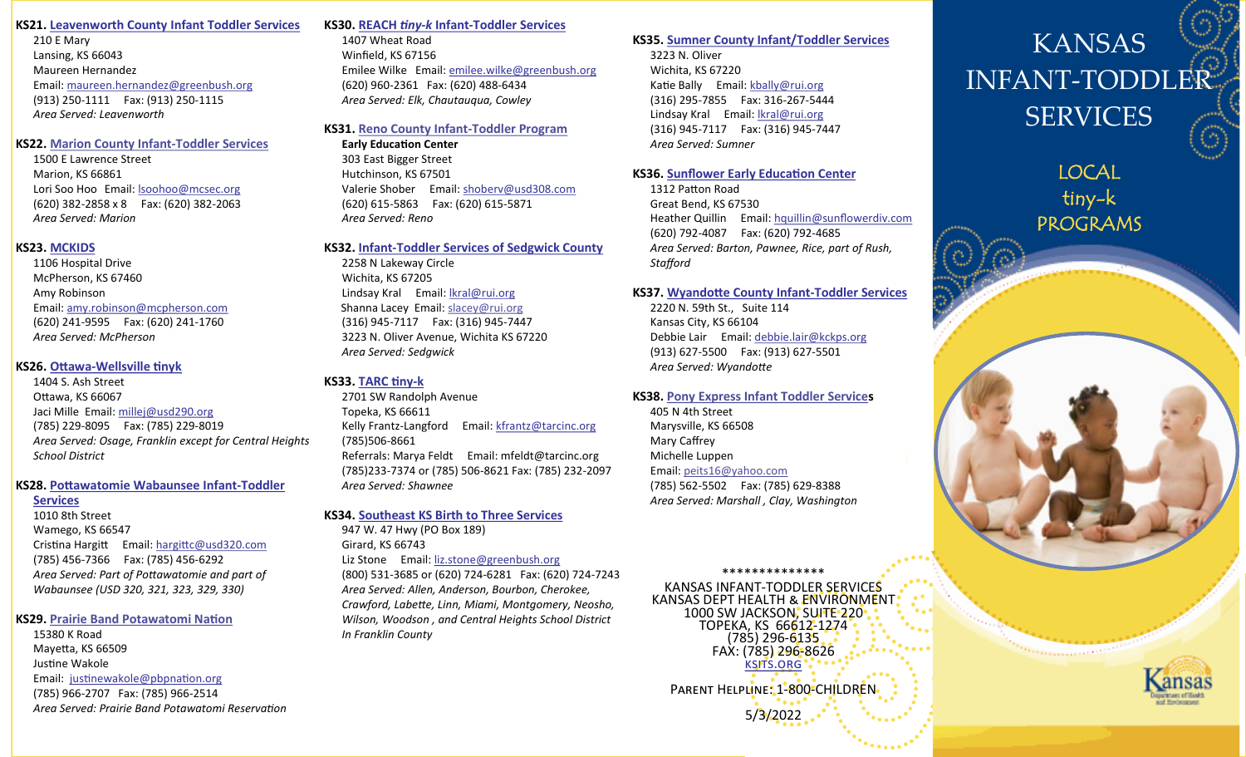### **KS21. [Leavenworth County Infant Toddler Services](https://www.greenbush.org/center-of-community-supports/early-learning-services/infant-toddler-networks/)**

210 E Mary Lansing, KS 66043 Maureen Hernandez Email: [maureen.hernandez@greenbush.org](mailto:maureen.hernandez@greenbush.org) (913) 250-1111 Fax: (913) 250-1115 *Area Served: Leavenworth*

### **KS22. Marion County Infant-Toddler Services**

1500 E Lawrence Street Marion, KS 66861 Lori Soo Hoo Email: [ls](mailto:lsoohoo@mcsec.org)[oohoo@mcsec.org](mailto:Lsoohoo@mcsec.org) (620) 382-2858 x 8 Fax: (620) 382-2063 *Area Served: Marion*

# **KS23. [MCKIDS](https://www.mcphersoncountyks.us/33/MCKIDS)**

1106 Hospital Drive McPherson, KS 67460 Amy Robinson Email: [amy.robinson@mcpherson.com](mailto:amy.robinson@mcpherson.com) (620) 241-9595 Fax: (620) 241-1760  *Area Served: McPherson* 

# **KS26. Ottawa-[Wellsville tinyk](https://www.usd290.org/page/tiny-k)**

 1404 S. Ash Street Ottawa, KS 66067 Jaci Mille Email: [millej@usd290.org](mailto:millej@usd290.org) (785) 229-8095 Fax: (785) 229-8019 *Area Served: Osage, Franklin except for Central Heights School District*

# **KS28. [Pottawatomie Wabaunsee Infant](https://www.usd320.com/vnews/display.v/SEC/Programs%20%26%20Services%7CInfant%20Toddler)-Toddler**

**[Services](https://www.usd320.com/vnews/display.v/SEC/Programs%20%26%20Services%7CInfant%20Toddler)** 1010 8th Street Wamego, KS 66547 Cristina Hargitt Email: [hargittc@usd320.com](mailto:hargittc@usd320.com) (785) 456-7366 Fax: (785) 456-6292 *Area Served: Part of Pottawatomie and part of Wabaunsee (USD 320, 321, 323, 329, 330)*

### **KS29. Prairie Band Potawatomi Nation**

 15380 K Road Mayetta, KS 66509 Justine Wakole Email: [justinewakole@pbpnation.org](mailto:justinewakole@pbpnation.org) (785) 966-2707 Fax: (785) 966-2514 *Area Served: Prairie Band Potawatomi Reservation* 

### **KS30. REACH** *tiny-k* **Infant-[Toddler Services](https://www.greenbush.org/center-of-community-supports/early-learning-services/infant-toddler-networks/)**

1407 Wheat Road Winfield, KS 67156 Emilee Wilke Email: [emilee.wilke@greenbush.org](mailto:emilee.wilke@greenbush.org) (620) 960-2361 Fax: (620) 488-6434  *Area Served: Elk, Chautauqua, Cowley*

# **KS31. Reno County Infant-Toddler Program**

 **Early Education Center** 303 East Bigger Street Hutchinson, KS 67501 Valerie Shober Email: [shoberv@usd308.com](mailto:shoberv@usd308.com) (620) 615-5863 Fax: (620) 615-5871 *Area Served: Reno* 

### **KS32. Infant-[Toddler Services of Sedgwick County](https://rainbowsunited.org/services/early-intervention/)**

2258 N Lakeway Circle Wichita, KS 67205 Lindsay Kral Email: [lkral@rui.org](mailto:lkral@rui.org) Shanna Lacey Email: slacey@rui.org (316) 945-7117 Fax: (316) 945-7447 3223 N. Oliver Avenue, Wichita KS 67220  *Area Served: Sedgwick* 

# **KS33. [TARC tiny](https://tarcinc.org/project/tarc-tiny-k-program/)-k**

2701 SW Randolph Avenue Topeka, KS 66611 Kelly Frantz-Langford Email: [kfrantz@tarcinc.org](mailto:kfrantz@tarcinc.org) (785)506-8661 Referrals: Marya Feldt Email: mfeldt@tarcinc.org (785)233-7374 or (785) 506-8621 Fax: (785) 232-2097 *Area Served: Shawnee* 

### **KS34. [Southeast KS Birth to Three Services](https://www.greenbush.org/center-of-community-supports/early-learning-services/infant-toddler-networks/)**

947 W. 47 Hwy (PO Box 189) Girard, KS 66743 Liz Stone Email: [liz.stone@greenbush.org](mailto:liz.stone@greenbush.org) (800) 531-3685 or (620) 724-6281 Fax: (620) 724-7243 *Area Served: Allen, Anderson, Bourbon, Cherokee, Crawford, Labette, Linn, Miami, Montgomery, Neosho, Wilson, Woodson , and Central Heights School District In Franklin County* 

### **KS35. [Sumner County Infant/Toddler Services](https://rainbowsunited.org/services/early-intervention/)** 3223 N. Oliver Wichita, KS 67220 Katie Bally Email: [kbally@rui.org](mailto:kbally@rui.org) (316) 295-7855 Fax: 316-267-5444 Lindsay Kral Email: [lkral@rui.org](mailto:lkral@rui.org) (316) 945-7117 Fax: (316) 945-7447 *Area Served: Sumner*

### **KS36. [Sunflower Early Education Center](https://www.sunflowerdiv.com/early-education)**

1312 Patton Road Great Bend, KS 67530 Heather Quillin Email: [hquillin@sunflowerdiv.com](mailto:hquillin@sunflowerdiv.com) (620) 792-4087 Fax: (620) 792-4685 *Area Served: Barton, Pawnee, Rice, part of Rush, Stafford* 

### **KS37. [Wyandotte County Infant](https://www.wycoinfanttoddlerservices.org/)-Toddler Services**

 2220 N. 59th St., Suite 114 Kansas City, KS 66104 Debbie Lair Email: [debbie.lair@kckps.org](mailto:debbie.lair@kckps.org) (913) 627-5500 Fax: (913) 627-5501 *Area Served: Wyandotte*

### **KS38. Pony Express Infant Toddler Services**

405 N 4th Street Marysville, KS 66508 Mary Caffrey Michelle Luppen Email: peits16@yahoo.com (785) 562-5502 Fax: (785) 629-8388 *Area Served: Marshall , Clay, Washington*

#### \*\*\*\*\*\*\*\*\*\*\*\*\*\*

KANSAS INFANT-TODDLER SERVICES KANSAS DEPT HEALTH & ENVIRONMENT 1000 SW JACKSON, SUITE 220 TOPEKA, KS 66612-1274 (785) 296-6135 FAX: (785) 296-8626 [ksits.org](http://www.ksits.org)

PARENT HELPLINE: 1-800-CHILDREN-5/3/2022

# KANSAS INFANT-TODDLER **SERVICES**

LOCAL tiny-k PROGRAMS